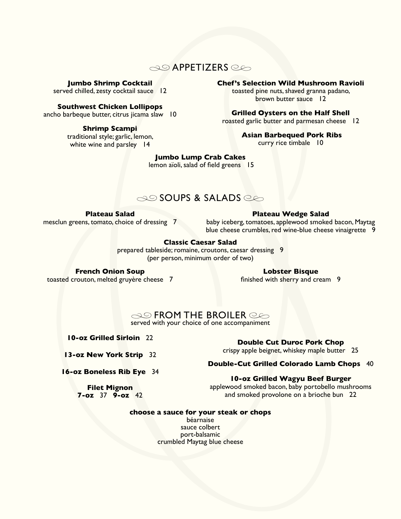# $\infty$  APPETIZERS  $\infty$

**Jumbo Shrimp Cocktail**

served chilled, zesty cocktail sauce 12

## **Southwest Chicken Lollipops**

ancho barbeque butter, citrus jicama slaw 10

### **Shrimp Scampi**

traditional style; garlic, lemon, white wine and parsley 14

## **Chef's Selection Wild Mushroom Ravioli**

toasted pine nuts, shaved granna padano, brown butter sauce 12

## **Grilled Oysters on the Half Shell**

roasted garlic butter and parmesan cheese 12

 **Asian Barbequed Pork Ribs**

curry rice timbale 10

## **Jumbo Lump Crab Cakes**

lemon aïoli, salad of field greens 15

# SOUPS & SALADS

## **Plateau Salad**

mesclun greens, tomato, choice of dressing 7

#### **Plateau Wedge Salad**

baby iceberg, tomatoes, applewood smoked bacon, Maytag blue cheese crumbles, red wine-blue cheese vinaigrette 9

## **Classic Caesar Salad**

prepared tableside; romaine, croutons, caesar dressing 9 (per person, minimum order of two)

#### **French Onion Soup**  toasted crouton, melted gruyère cheese 7

#### **Lobster Bisque**

finished with sherry and cream 9

 $\infty$  FROM THE BROILER  $\circledcirc$ served with your choice of one accompaniment

**10-oz Grilled Sirloin** 22

**Double Cut Duroc Pork Chop**

**13-oz New York Strip** 32

**Double-Cut Grilled Colorado Lamb Chops** 40

**16-oz Boneless Rib Eye** 34

# **10-oz Grilled Wagyu Beef Burger**

**Filet Mignon 7-oz** 37 **9-oz** 42 applewood smoked bacon, baby portobello mushrooms and smoked provolone on a brioche bun 22

#### **choose a sauce for your steak or chops**

béarnaise sauce colbert port-balsamic crumbled Maytag blue cheese

crispy apple beignet, whiskey maple butter 25